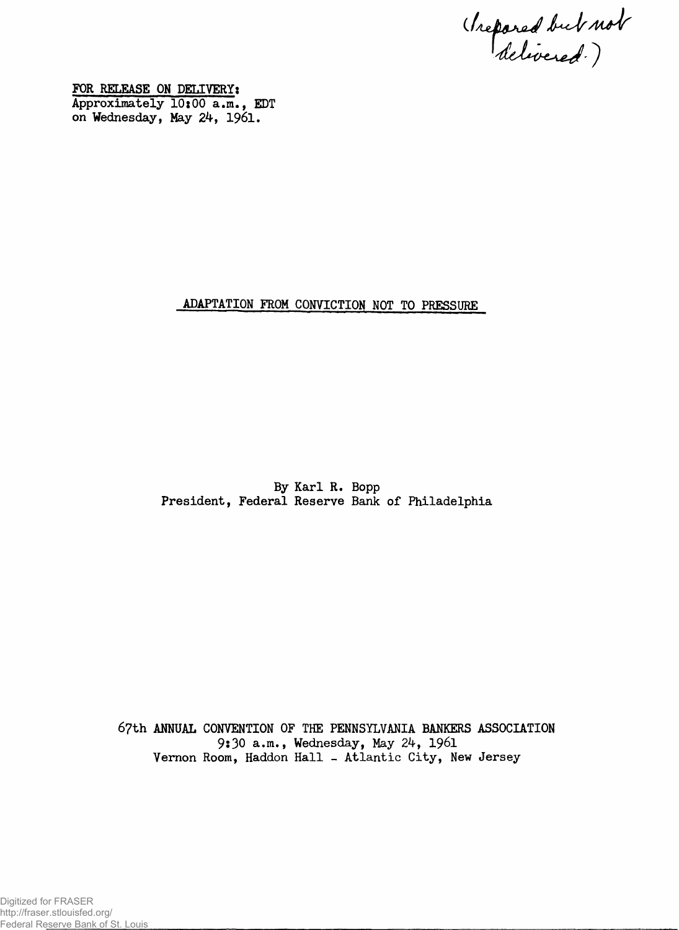(Irepared but not

**FOR RELEASE ON DELIVERY: Approximately 10x00 a.m., EDT on Wednesday, May 24, 1961.**

## **ADAPTATION FROM CONVICTION NOT TO PRESSURE**

**By Karl R. Bopp President, Federal Reserve Bank of Philadelphia**

**67th ANNUAL CONVENTION OF THE PENNSYLVANIA BANKERS ASSOCIATION 9s30 a.m., Wednesday, May 2^, 1961 Vernon Room, Haddon Hall - Atlantic City, New Jersey**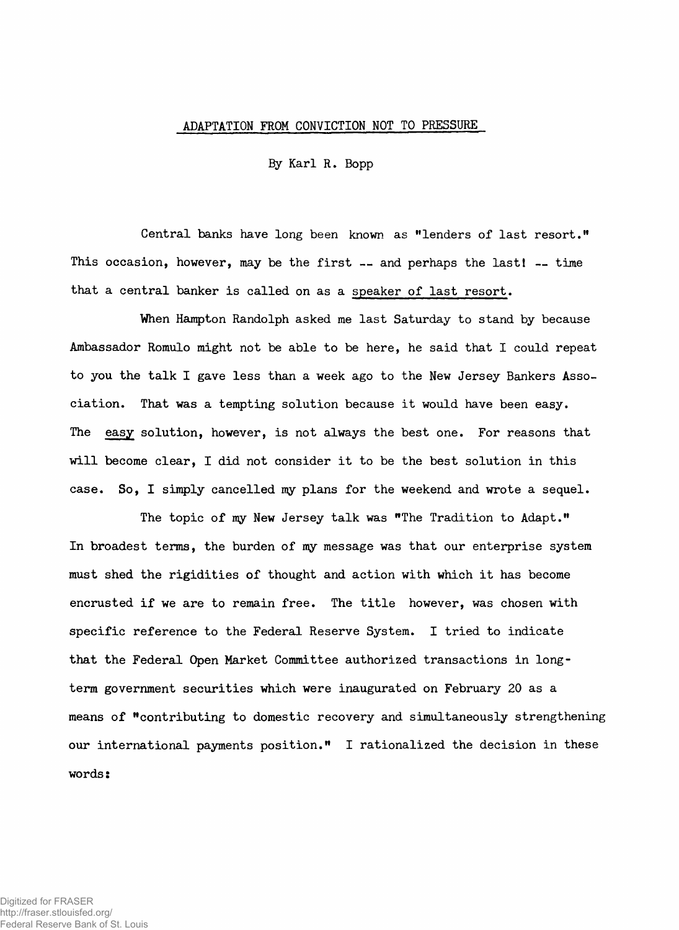## **ADAPTATION FROM CONVICTION NOT TO PRESSURE**

**By Karl R. Bopp**

**Central banks have long been known as "lenders of last resort." This occasion, however, may be the first — and perhaps the lastl — time that a central banker is called on as a speaker of last resort.**

**When Hampton Randolph asked me last Saturday to stand by because Ambassador Romulo might not be able to be here, he said that I could repeat to you the talk I gave less than a week ago to the New Jersey Bankers Association. That was a tempting solution because it would have been easy. The easy solution, however, is not always the best one. For reasons that will become clear, I did not consider it to be the best solution in this case. So, I simply cancelled my plans for the weekend and wrote a sequel.**

**The topic of my New Jersey talk was "The Tradition to Adapt." In broadest terms, the burden of my message was that our enterprise system must shed the rigidities of thought and action with which it has become encrusted if we are to remain free. The title however, was chosen with specific reference to the Federal Reserve System. I tried to indicate that the Federal Open Market Committee authorized transactions in longterm government securities which were inaugurated on February 20 as a means of "contributing to domestic recovery and simultaneously strengthening our international payments position." I rationalized the decision in these words:**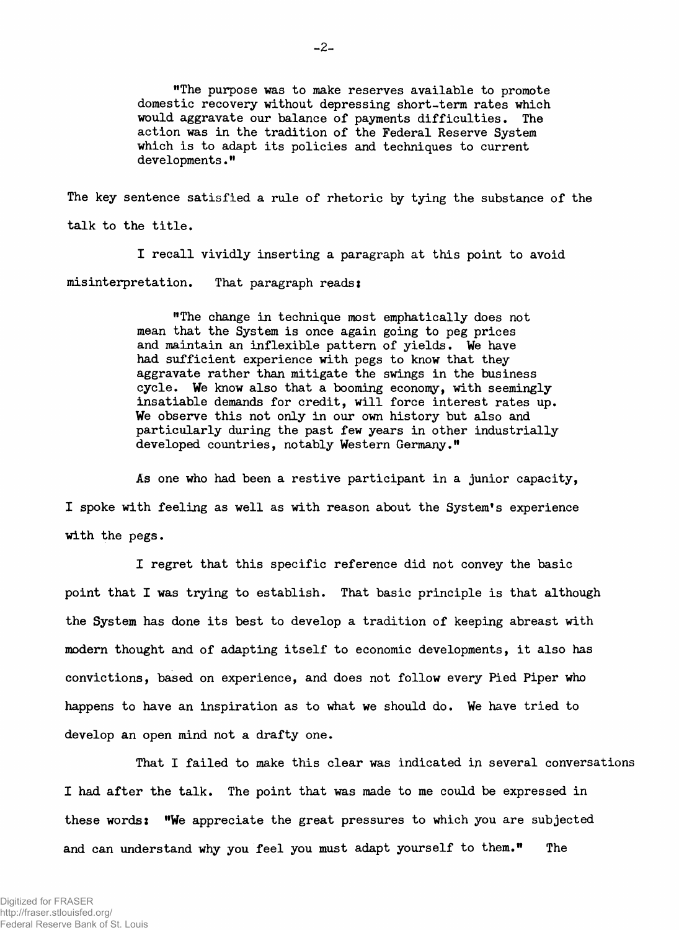**"The purpose was to make reserves available to promote domestic recovery without depressing short-term rates which would aggravate our balance of payments difficulties. The action was in the tradition of the Federal Reserve System which is to adapt its policies and techniques to current developments."**

**The key sentence satisfied a rule of rhetoric by tying the substance of the talk to the title.**

**I recall vividly inserting a paragraph at this point to avoid misinterpretation. That paragraph readss**

> **"The change in technique most emphatically does not mean that the System is once again going to peg prices and maintain an inflexible pattern of yields. We have had sufficient experience with pegs to know that they aggravate rather than mitigate the swings in the business cycle. We know also that a booming economy, with seemingly insatiable demands for credit, will force interest rates up. We observe this not only in our own history but also and particularly during the past few years in other industrially developed countries, notably Western Germany."**

**As one who had been a restive participant in a junior capacity, I spoke with feeling as well as with reason about the System's experience with the pegs.**

**I regret that this specific reference did not convey the basic point that I was trying to establish. That basic principle is that although the System has done its best to develop a tradition of keeping abreast with modern thought and of adapting itself to economic developments, it also has convictions, based on experience, and does not follow every Pied Piper who happens to have an inspiration as to what we should do. We have tried to develop an open mind not a drafty one.**

**That I failed to make this clear was indicated in several conversations I had after the talk. The point that was made to me could be expressed in these words: "We appreciate the great pressures to which you are subjected and can understand why you feel you must adapt yourself to them." The**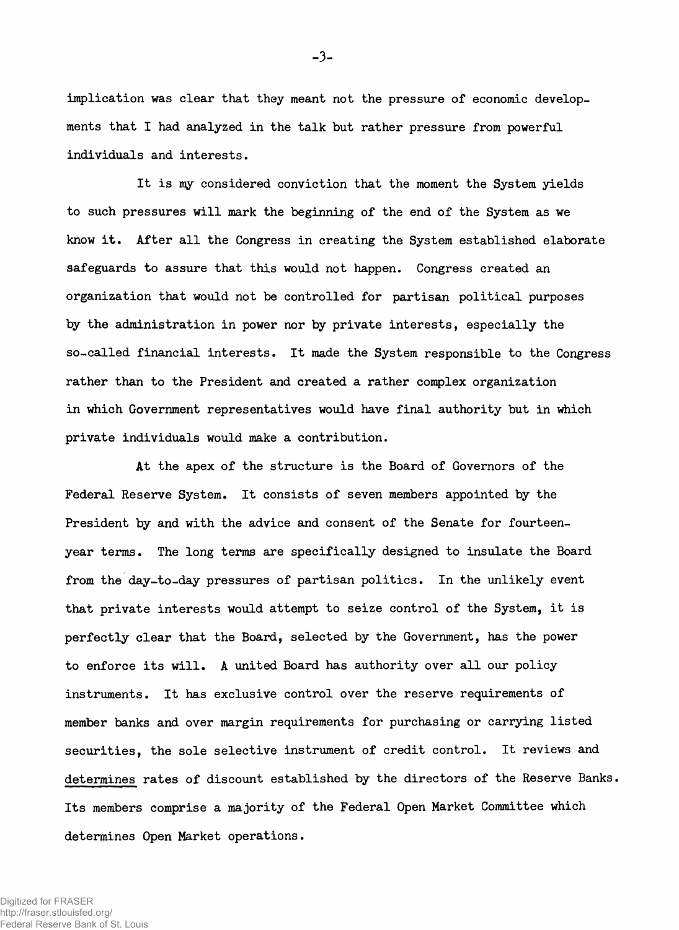**implication was clear that they meant not the pressure of economic developments that I had analyzed in the talk but rather pressure from powerful individuals and interests.**

**It is my considered conviction that the moment the System yields to such pressures will mark the beginning of the end of the System as we know it. After all the Congress in creating the System established elaborate safeguards to assure that this would not happen. Congress created an organization that would not be controlled for partisan political purposes by the administration in power nor by private interests, especially the so-called financial interests. It made the System responsible to the Congress rather than to the President and created a rather complex organization in which Government representatives would have final authority but in which private individuals would make a contribution.**

**At the apex of the structure is the Board of Governors of the Federal Reserve System. It consists of seven members appointed by the President by and with the advice and consent of the Senate for fourteenyear terms. The long terms are specifically designed to insulate the Board from the day-to-day pressures of partisan politics. In the unlikely event that private interests would attempt to seize control of the System, it is perfectly clear that the Board, selected by the Government, has the power to enforce its will. A united Board has authority over all our policy instruments. It has exclusive control over the reserve requirements of member banks and over margin requirements for purchasing or carrying listed securities, the sole selective instrument of credit control. It reviews and determines rates of discount established by the directors of the Reserve Banks. Its members comprise a majority of the Federal Open Market Committee which determines Open Market operations.**

**-3-**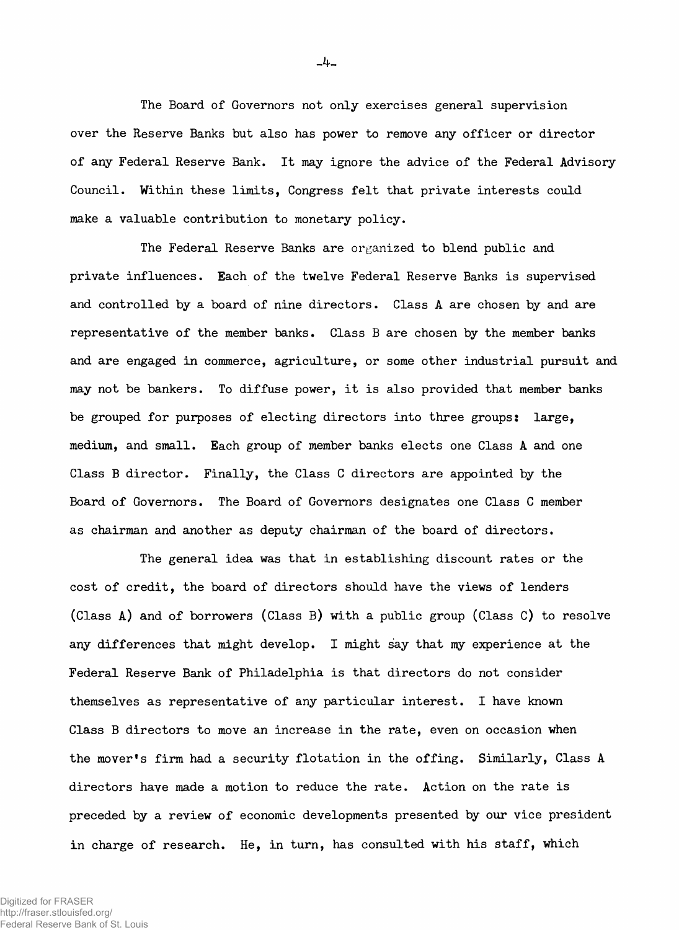**The Board of Governors not only exercises general supervision over the Reserve Banks but also has power to remove any officer or director of any Federal Reserve Bank. It may ignore the advice of the Federal Advisory Council. Within these limits, Congress felt that private interests could make a valuable contribution to monetary policy.**

**The Federal Reserve Banks are organized to blend public and private influences. Each of the twelve Federal Reserve Banks is supervised and controlled by a board of nine directors. Class A are chosen by and are representative of the member banks. Class B are chosen by the member banks and are engaged in commerce, agriculture, or some other industrial pursuit and may not be bankers. To diffuse power, it is also provided that member banks be grouped for purposes of electing directors into three groups: large, medium, and small. Each group of member banks elects one Class A and one Class B director. Finally, the Class C directors are appointed by the Board of Governors. The Board of Governors designates one Class C member as chairman and another as deputy chairman of the board of directors.**

**The general idea was that in establishing discount rates or the cost of credit, the board of directors should have the views of lenders (Class A) and of borrowers (Class B) with a public group (Class C) to resolve any differences that might develop. I might say that my experience at the Federal Reserve Bank of Philadelphia is that directors do not consider themselves as representative of any particular interest. I have known Class B directors to move an increase in the rate, even on occasion when the mover's firm had a security flotation in the offing. Similarly, Class A directors have made a motion to reduce the rate. Action on the rate is preceded by a review of economic developments presented by our vice president in charge of research. He, in turn, has consulted with his staff, which**

**-4-**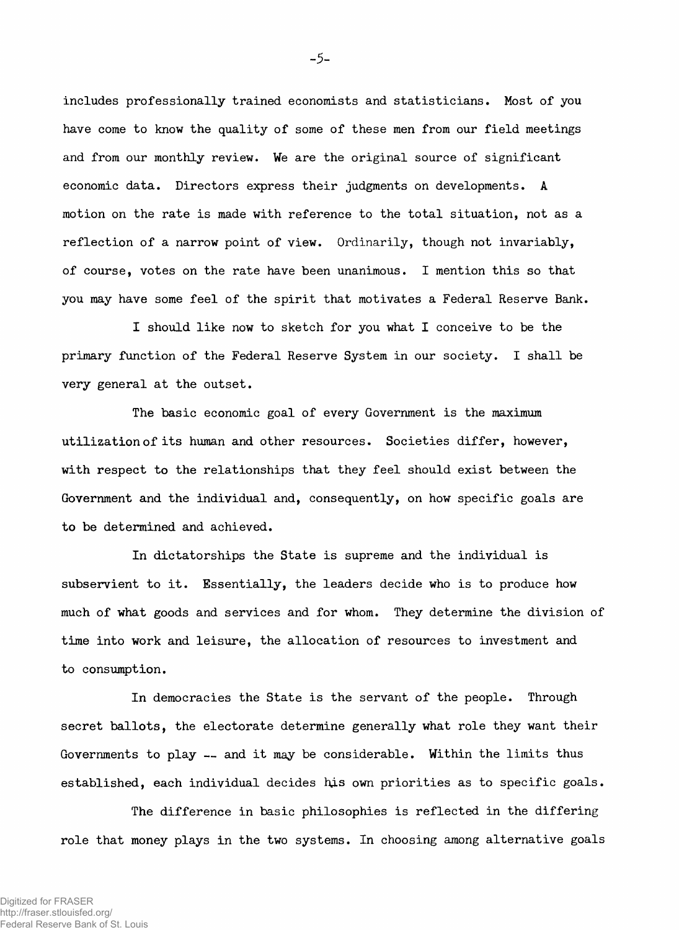**includes professionally trained economists and statisticians. Most of you have come to know the quality of some of these men from our field meetings and from our monthly review. We are the original source of significant economic data. Directors express their judgments on developments. A motion on the rate is made with reference to the total situation, not as a reflection of a narrow point of view. Ordinarily, though not invariably, of course, votes on the rate have been unanimous. I mention this so that you may have some feel of the spirit that motivates a Federal Reserve Bank.**

**I should like now to sketch for you what I conceive to be the primary function of the Federal Reserve System in our society. I shall be very general at the outset.**

**The basic economic goal of every Government is the maximum utilization of its human and other resources. Societies differ, however, with respect to the relationships that they feel should exist between the Government and the individual and, consequently, on how specific goals are to be determined and achieved.**

**In dictatorships the State is supreme and the individual is subservient to it. Essentially, the leaders decide who is to produce how much of what goods and services and for whom. They determine the division of time into work and leisure, the allocation of resources to investment and to consumption.**

**In democracies the State is the servant of the people. Through secret ballots, the electorate determine generally what role they want their Governments to play — and it may be considerable. Within the limits thus established, each individual decides his own priorities as to specific goals.**

**The difference in basic philosophies is reflected in the differing role that money plays in the two systems. In choosing among alternative goals**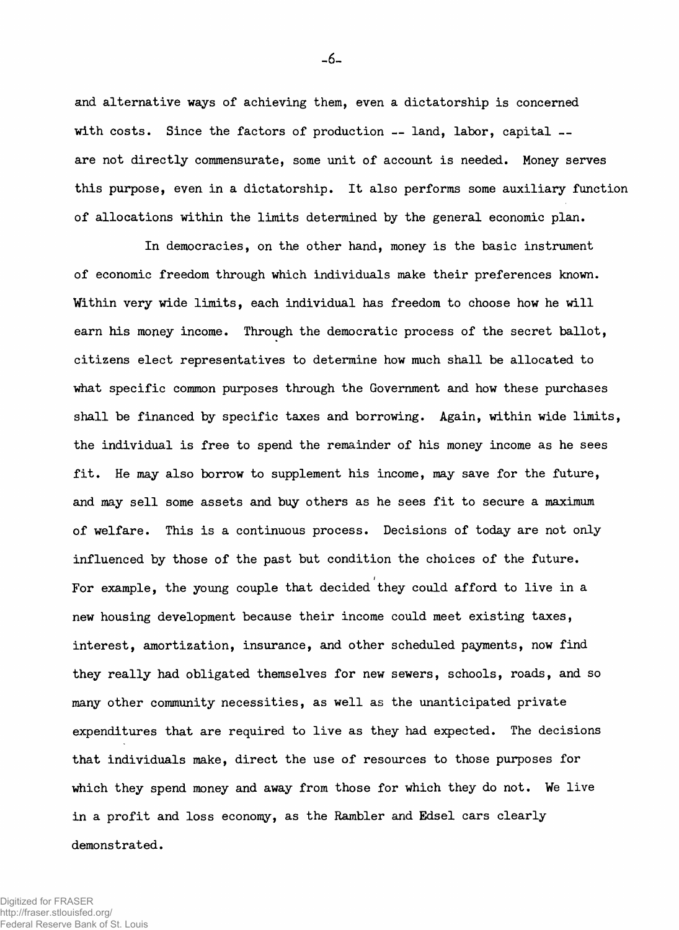**and alternative ways of achieving them, even a dictatorship is concerned with costs. Since the factors of production — land, labor, capital are not directly commensurate, some unit of account is needed. Money serves this purpose, even in a dictatorship. It also performs some auxiliary function of allocations within the limits determined by the general economic plan.**

**In democracies, on the other hand, money is the basic instrument of economic freedom through which individuals make their preferences known. Within very wide limits, each individual has freedom to choose how he will earn his money income. Through the democratic process of the secret ballot, citizens elect representatives to determine how much shall be allocated to what specific common purposes through the Government and how these purchases shall be financed by specific taxes and borrowing. Again, within wide limits, the individual is free to spend the remainder of his money income as he sees fit. He may also borrow to supplement his income, may save for the future, and may sell some assets and buy others as he sees fit to secure a maximum of welfare. This is a continuous process. Decisions of today are not only influenced by those of the past but condition the choices of the future. / For example, the young couple that decided they could afford to live in a new housing development because their income could meet existing taxes, interest, amortization, insurance, and other scheduled payments, now find they really had obligated themselves for new sewers, schools, roads, and so many other community necessities, as well as the unanticipated private expenditures that are required to live as they had expected. The decisions that individuals make, direct the use of resources to those purposes for which they spend money and away from those for which they do not. We live** in a profit and loss economy, as the Rambler and Edsel cars clearly **demonstrated.**

-6-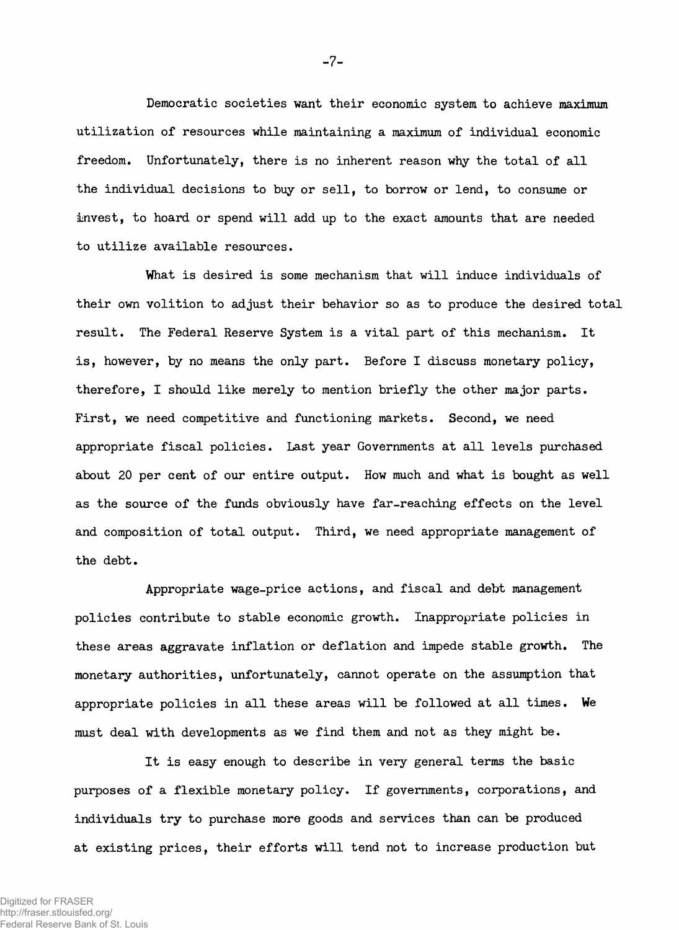**Democratic societies want their economic system to achieve maximum utilization of resources while maintaining a maximum of individual economic freedom. Unfortunately, there is no inherent reason why the total of all the individual decisions to buy or sell, to borrow or lend, to consume or invest, to hoard or spend will add up to the exact amounts that are needed to utilize available resources.**

**What is desired is some mechanism that will induce individuals of their own volition to adjust their behavior so as to produce the desired total result. The Federal Reserve System is a vital part of this mechanism. It is, however, by no means the only part. Before I discuss monetary policy, therefore, I should like merely to mention briefly the other major parts. First, we need competitive and functioning markets. Second, we need appropriate fiscal policies. Last year Governments at all levels purchased about 20 per cent of our entire output. How much and what is bought as well as the source of the funds obviously have far-reaching effects on the level and composition of total output. Third, we need appropriate management of the debt.**

**Appropriate wage-price actions, and fiscal and debt management policies contribute to stable economic growth. Inappropriate policies in these areas aggravate inflation or deflation and impede stable growth. The monetary authorities, unfortunately, cannot operate on the assumption that appropriate policies in all these areas will be followed at all times. We must deal with developments as we find them and not as they might be.**

**It is easy enough to describe in very general terms the basic purposes of a flexible monetary policy. If governments, corporations, and individuals try to purchase more goods and services than can be produced at existing prices, their efforts will tend not to increase production but**

**-7-**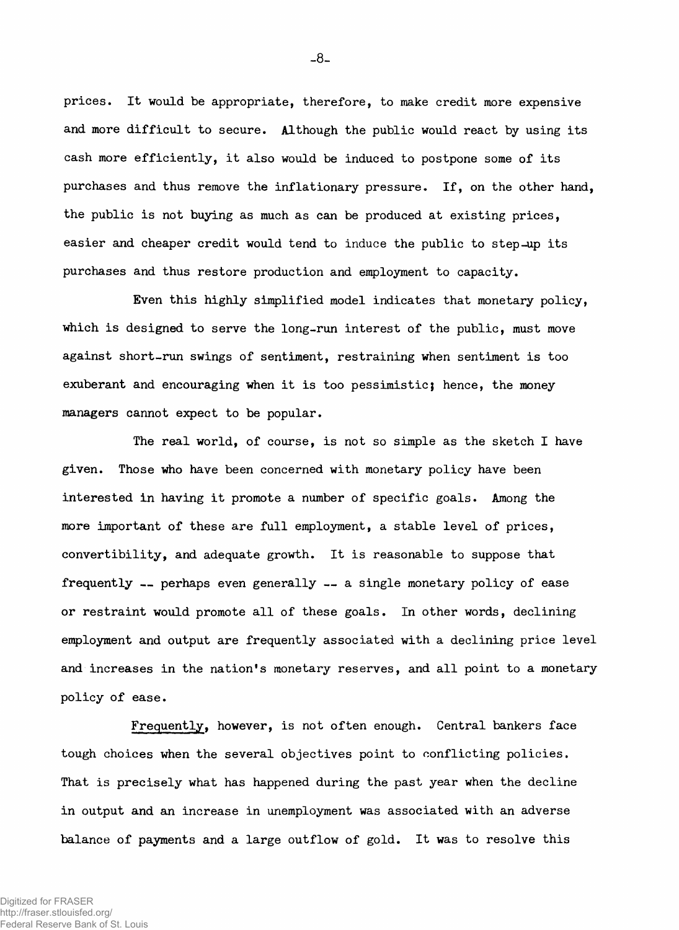**prices. It would be appropriate, therefore, to make credit more expensive and more difficult to secure. Although the public would react by using its cash more efficiently, it also would be induced to postpone some of its purchases and thus remove the inflationary pressure. If, on the other hand, the public is not buying as much as can be produced at existing prices, easier and cheaper credit would tend to induce the public to step-up its purchases and thus restore production and employment to capacity.**

**Even this highly simplified model indicates that monetary policy, which is designed to serve the long-run interest of the public, must move against short-run swings of sentiment, restraining when sentiment is too exuberant and encouraging when it is too pessimisticj hence, the money managers cannot expect to be popular.**

**The real world, of course, is not so simple as the sketch I have given. Those who have been concerned with monetary policy have been interested in having it promote a number of specific goals. Among the more important of these are full employment, a stable level of prices, convertibility, and adequate growth. It is reasonable to suppose that frequently — perhaps even generally — a single monetary policy of ease or restraint would promote all of these goals. In other words, declining employment and output are frequently associated with a declining price level and increases in the nation's monetary reserves, and all point to a monetary policy of ease.**

**Frequently, however, is not often enough. Central bankers face tough choices when the several objectives point to conflicting policies. That is precisely what has happened during the past year when the decline in output and an increase in unemployment was associated with an adverse balance of payments and a large outflow of gold. It was to resolve this**